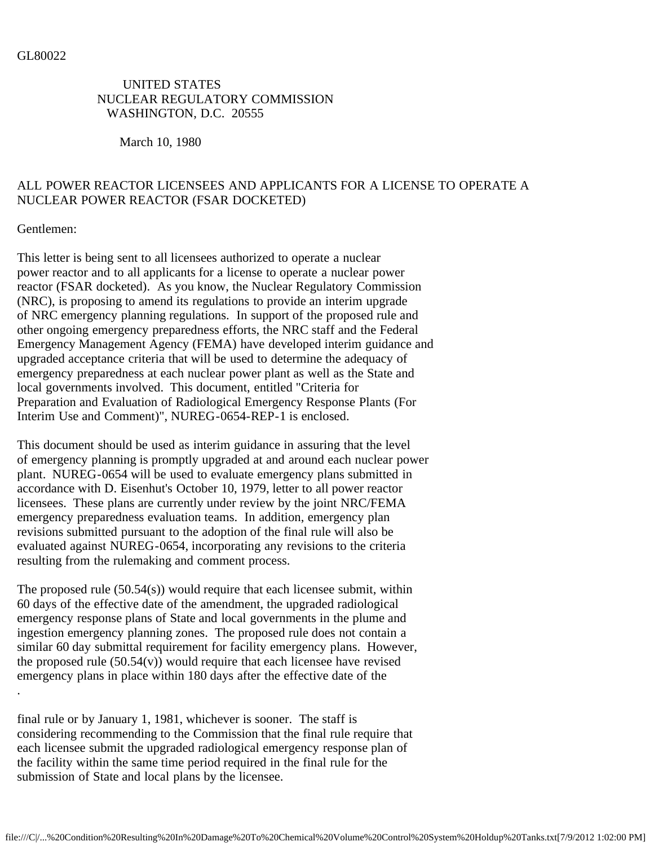## UNITED STATES NUCLEAR REGULATORY COMMISSION WASHINGTON, D.C. 20555

March 10, 1980

## ALL POWER REACTOR LICENSEES AND APPLICANTS FOR A LICENSE TO OPERATE A NUCLEAR POWER REACTOR (FSAR DOCKETED)

Gentlemen:

This letter is being sent to all licensees authorized to operate a nuclear power reactor and to all applicants for a license to operate a nuclear power reactor (FSAR docketed). As you know, the Nuclear Regulatory Commission (NRC), is proposing to amend its regulations to provide an interim upgrade of NRC emergency planning regulations. In support of the proposed rule and other ongoing emergency preparedness efforts, the NRC staff and the Federal Emergency Management Agency (FEMA) have developed interim guidance and upgraded acceptance criteria that will be used to determine the adequacy of emergency preparedness at each nuclear power plant as well as the State and local governments involved. This document, entitled "Criteria for Preparation and Evaluation of Radiological Emergency Response Plants (For Interim Use and Comment)", NUREG-0654-REP-1 is enclosed.

This document should be used as interim guidance in assuring that the level of emergency planning is promptly upgraded at and around each nuclear power plant. NUREG-0654 will be used to evaluate emergency plans submitted in accordance with D. Eisenhut's October 10, 1979, letter to all power reactor licensees. These plans are currently under review by the joint NRC/FEMA emergency preparedness evaluation teams. In addition, emergency plan revisions submitted pursuant to the adoption of the final rule will also be evaluated against NUREG-0654, incorporating any revisions to the criteria resulting from the rulemaking and comment process.

The proposed rule (50.54(s)) would require that each licensee submit, within 60 days of the effective date of the amendment, the upgraded radiological emergency response plans of State and local governments in the plume and ingestion emergency planning zones. The proposed rule does not contain a similar 60 day submittal requirement for facility emergency plans. However, the proposed rule  $(50.54(v))$  would require that each licensee have revised emergency plans in place within 180 days after the effective date of the .

final rule or by January 1, 1981, whichever is sooner. The staff is considering recommending to the Commission that the final rule require that each licensee submit the upgraded radiological emergency response plan of the facility within the same time period required in the final rule for the submission of State and local plans by the licensee.